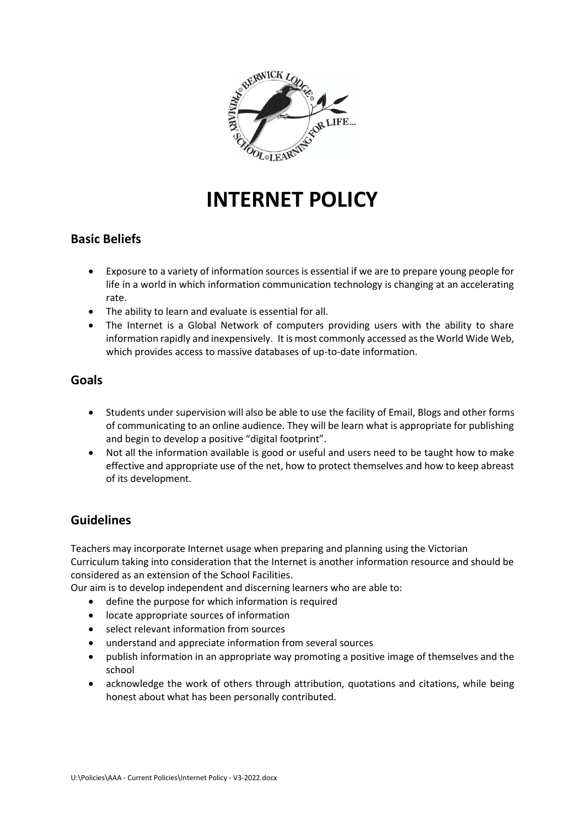

# **INTERNET POLICY**

## **Basic Beliefs**

- Exposure to a variety of information sources is essential if we are to prepare young people for life in a world in which information communication technology is changing at an accelerating rate.
- The ability to learn and evaluate is essential for all.
- The Internet is a Global Network of computers providing users with the ability to share information rapidly and inexpensively. It is most commonly accessed as the World Wide Web, which provides access to massive databases of up-to-date information.

## **Goals**

- Students under supervision will also be able to use the facility of Email, Blogs and other forms of communicating to an online audience. They will be learn what is appropriate for publishing and begin to develop a positive "digital footprint".
- Not all the information available is good or useful and users need to be taught how to make effective and appropriate use of the net, how to protect themselves and how to keep abreast of its development.

## **Guidelines**

Teachers may incorporate Internet usage when preparing and planning using the Victorian Curriculum taking into consideration that the Internet is another information resource and should be considered as an extension of the School Facilities.

Our aim is to develop independent and discerning learners who are able to:

- define the purpose for which information is required
- locate appropriate sources of information
- select relevant information from sources
- understand and appreciate information from several sources
- publish information in an appropriate way promoting a positive image of themselves and the school
- acknowledge the work of others through attribution, quotations and citations, while being honest about what has been personally contributed.